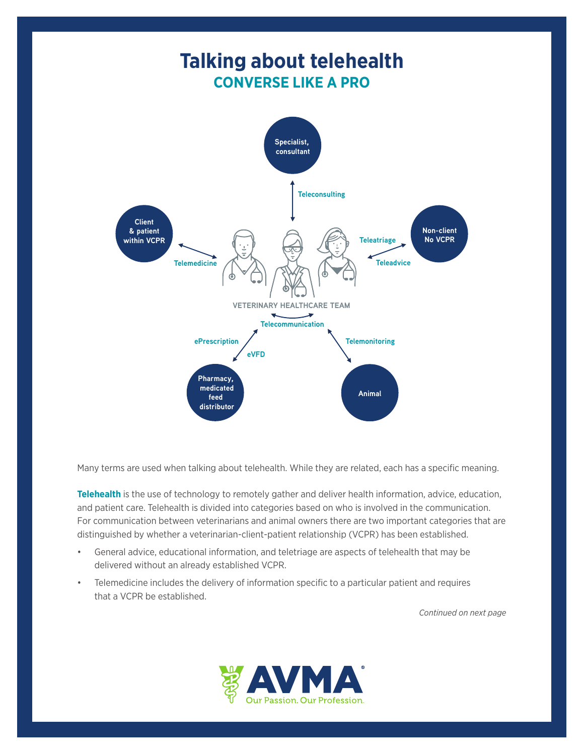

Many terms are used when talking about telehealth. While they are related, each has a specific meaning.

**Telehealth** is the use of technology to remotely gather and deliver health information, advice, education, and patient care. Telehealth is divided into categories based on who is involved in the communication. For communication between veterinarians and animal owners there are two important categories that are distinguished by whether a veterinarian-client-patient relationship (VCPR) has been established.

- General advice, educational information, and teletriage are aspects of telehealth that may be delivered without an already established VCPR.
- Telemedicine includes the delivery of information specific to a particular patient and requires that a VCPR be established.

*Continued on next page*